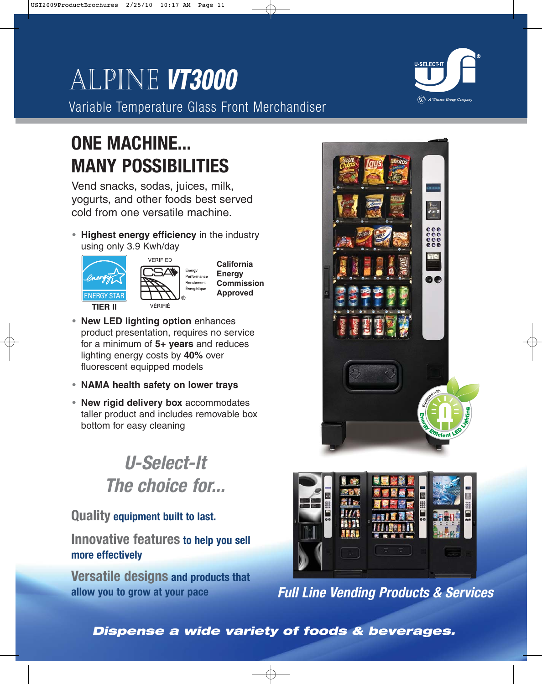# Alpine **VT3000**

Variable Temperature Glass Front Merchandiser

# **ONE MACHINE... MANY POSSIBILITIES**

Vend snacks, sodas, juices, milk, yogurts, and other foods best served cold from one versatile machine.

**• Highest energy efficiency** in the industry using only 3.9 Kwh/day





**California Energy Commission Approved**

- **• New LED lighting option** enhances product presentation, requires no service for a minimum of **5+ years** and reduces lighting energy costs by **40%** over fluorescent equipped models
- **• NAMA health safety on lower trays**
- **• New rigid delivery box** accommodates taller product and includes removable box bottom for easy cleaning

# **U-Select-It The choice for...**

# **Quality equipment built to last.**

**Innovative features to help you sell more effectively**

**Versatile designs and products that allow you to grow at your pace**





**Full Line Vending Products & Services**

**Dispense a wide variety of foods & beverages.**